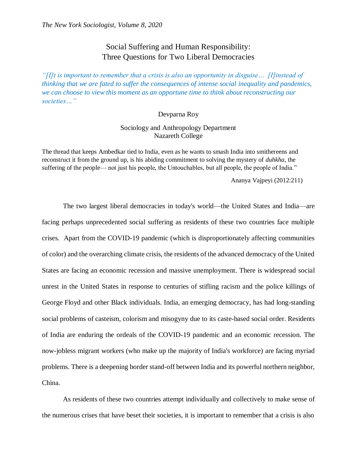# Social Suffering and Human Responsibility: Three Questions for Two Liberal Democracies

*"[I]t is important to remember that a crisis is also an opportunity in disguise… [I]instead of thinking that we are fated to suffer the consequences of intense social inequality and pandemics, we can choose to view this moment as an opportune time to think about reconstructing our societies…"*

#### Devparna Roy

## Sociology and Anthropology Department Nazareth College

The thread that keeps Ambedkar tied to India, even as he wants to smash India into smithereens and reconstruct it from the ground up, is his abiding commitment to solving the mystery of *duhkha*, the suffering of the people— not just his people, the Untouchables, but all people, the people of India."

Ananya Vajpeyi (2012:211)

The two largest liberal democracies in today's world—the United States and India—are facing perhaps unprecedented social suffering as residents of these two countries face multiple crises. Apart from the COVID-19 pandemic (which is disproportionately affecting communities of color) and the overarching climate crisis, the residents of the advanced democracy of the United States are facing an economic recession and massive unemployment. There is widespread social unrest in the United States in response to centuries of stifling racism and the police killings of George Floyd and other Black individuals. India, an emerging democracy, has had long-standing social problems of casteism, colorism and misogyny due to its caste-based social order. Residents of India are enduring the ordeals of the COVID-19 pandemic and an economic recession. The now-jobless migrant workers (who make up the majority of India's workforce) are facing myriad problems. There is a deepening border stand-off between India and its powerful northern neighbor, China.

As residents of these two countries attempt individually and collectively to make sense of the numerous crises that have beset their societies, it is important to remember that a crisis is also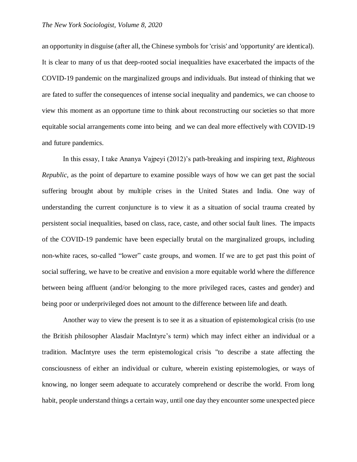#### *The New York Sociologist, Volume 8, 2020*

an opportunity in disguise (after all, the Chinese symbols for 'crisis' and 'opportunity' are identical). It is clear to many of us that deep-rooted social inequalities have exacerbated the impacts of the COVID-19 pandemic on the marginalized groups and individuals. But instead of thinking that we are fated to suffer the consequences of intense social inequality and pandemics, we can choose to view this moment as an opportune time to think about reconstructing our societies so that more equitable social arrangements come into being and we can deal more effectively with COVID-19 and future pandemics.

In this essay, I take Ananya Vajpeyi (2012)'s path-breaking and inspiring text, *Righteous Republic*, as the point of departure to examine possible ways of how we can get past the social suffering brought about by multiple crises in the United States and India. One way of understanding the current conjuncture is to view it as a situation of social trauma created by persistent social inequalities, based on class, race, caste, and other social fault lines. The impacts of the COVID-19 pandemic have been especially brutal on the marginalized groups, including non-white races, so-called "lower" caste groups, and women. If we are to get past this point of social suffering, we have to be creative and envision a more equitable world where the difference between being affluent (and/or belonging to the more privileged races, castes and gender) and being poor or underprivileged does not amount to the difference between life and death.

Another way to view the present is to see it as a situation of epistemological crisis (to use the British philosopher Alasdair MacIntyre's term) which may infect either an individual or a tradition. MacIntyre uses the term epistemological crisis "to describe a state affecting the consciousness of either an individual or culture, wherein existing epistemologies, or ways of knowing, no longer seem adequate to accurately comprehend or describe the world. From long habit, people understand things a certain way, until one day they encounter some unexpected piece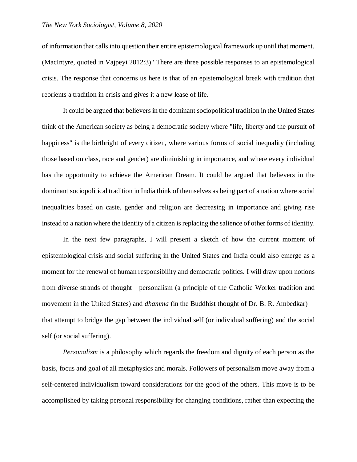of information that calls into question their entire epistemological framework up until that moment. (MacIntyre, quoted in Vajpeyi 2012:3)" There are three possible responses to an epistemological crisis. The response that concerns us here is that of an epistemological break with tradition that reorients a tradition in crisis and gives it a new lease of life.

It could be argued that believers in the dominant sociopolitical tradition in the United States think of the American society as being a democratic society where "life, liberty and the pursuit of happiness" is the birthright of every citizen, where various forms of social inequality (including those based on class, race and gender) are diminishing in importance, and where every individual has the opportunity to achieve the American Dream. It could be argued that believers in the dominant sociopolitical tradition in India think of themselves as being part of a nation where social inequalities based on caste, gender and religion are decreasing in importance and giving rise instead to a nation where the identity of a citizen isreplacing the salience of other forms of identity.

In the next few paragraphs, I will present a sketch of how the current moment of epistemological crisis and social suffering in the United States and India could also emerge as a moment for the renewal of human responsibility and democratic politics. I will draw upon notions from diverse strands of thought—personalism (a principle of the Catholic Worker tradition and movement in the United States) and *dhamma* (in the Buddhist thought of Dr. B. R. Ambedkar) that attempt to bridge the gap between the individual self (or individual suffering) and the social self (or social suffering).

*Personalism* is a philosophy which regards the freedom and dignity of each person as the basis, focus and goal of all metaphysics and morals. Followers of personalism move away from a self-centered individualism toward considerations for the good of the others. This move is to be accomplished by taking personal responsibility for changing conditions, rather than expecting the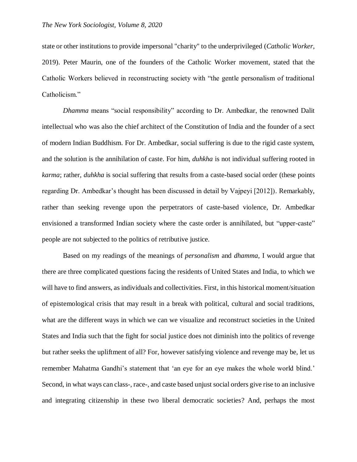state or other institutions to provide impersonal "charity" to the underprivileged (*Catholic Worker*, 2019). Peter Maurin, one of the founders of the Catholic Worker movement, stated that the Catholic Workers believed in reconstructing society with "the gentle personalism of traditional Catholicism."

*Dhamma* means "social responsibility" according to Dr. Ambedkar, the renowned Dalit intellectual who was also the chief architect of the Constitution of India and the founder of a sect of modern Indian Buddhism. For Dr. Ambedkar, social suffering is due to the rigid caste system, and the solution is the annihilation of caste. For him, *duhkha* is not individual suffering rooted in *karma*; rather, *duhkha* is social suffering that results from a caste-based social order (these points regarding Dr. Ambedkar's thought has been discussed in detail by Vajpeyi [2012]). Remarkably, rather than seeking revenge upon the perpetrators of caste-based violence, Dr. Ambedkar envisioned a transformed Indian society where the caste order is annihilated, but "upper-caste" people are not subjected to the politics of retributive justice.

Based on my readings of the meanings of *personalism* and *dhamma*, I would argue that there are three complicated questions facing the residents of United States and India, to which we will have to find answers, as individuals and collectivities. First, in this historical moment/situation of epistemological crisis that may result in a break with political, cultural and social traditions, what are the different ways in which we can we visualize and reconstruct societies in the United States and India such that the fight for social justice does not diminish into the politics of revenge but rather seeks the upliftment of all? For, however satisfying violence and revenge may be, let us remember Mahatma Gandhi's statement that 'an eye for an eye makes the whole world blind.' Second, in what ways can class-, race-, and caste based unjust social orders give rise to an inclusive and integrating citizenship in these two liberal democratic societies? And, perhaps the most